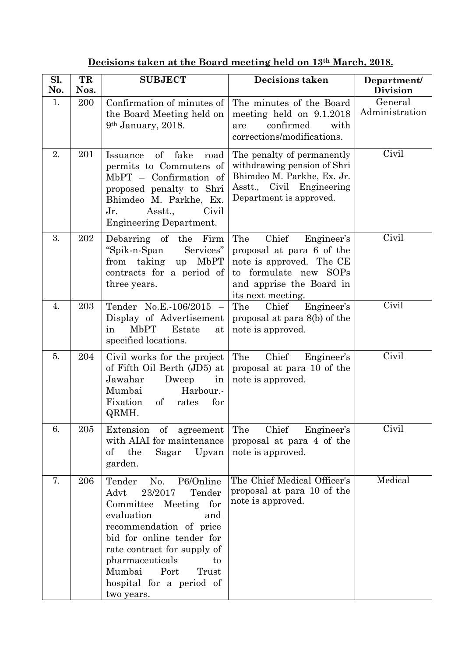|  | Decisions taken at the Board meeting held on 13 <sup>th</sup> March, 2018. |
|--|----------------------------------------------------------------------------|
|  |                                                                            |

| Sl.<br>No. | TR<br>Nos. | <b>SUBJECT</b>                                                                                                                                                                                                                                                                             | <b>Decisions taken</b>                                                                                                                                        | Department/<br><b>Division</b> |
|------------|------------|--------------------------------------------------------------------------------------------------------------------------------------------------------------------------------------------------------------------------------------------------------------------------------------------|---------------------------------------------------------------------------------------------------------------------------------------------------------------|--------------------------------|
| 1.         | 200        | Confirmation of minutes of<br>the Board Meeting held on<br>$9th$ January, 2018.                                                                                                                                                                                                            | The minutes of the Board<br>meeting held on 9.1.2018<br>confirmed<br>with<br>are<br>corrections/modifications.                                                | General<br>Administration      |
| 2.         | 201        | $\sigma f$<br>fake<br>Issuance<br>road<br>permits to Commuters of<br>$MbPT - Confirmation of$<br>proposed penalty to Shri<br>Bhimdeo M. Parkhe, Ex.<br>$Jr$ .<br>Asstt.,<br>Civil<br><b>Engineering Department.</b>                                                                        | The penalty of permanently<br>withdrawing pension of Shri<br>Bhimdeo M. Parkhe, Ex. Jr.<br>Asstt., Civil Engineering<br>Department is approved.               | Civil                          |
| 3.         | 202        | Debarring of the<br>Firm<br>"Spik-n-Span<br>Services"<br>from taking<br><b>MbPT</b><br>up<br>contracts for a period of<br>three years.                                                                                                                                                     | Chief<br>Engineer's<br>The<br>proposal at para 6 of the<br>note is approved. The CE<br>to formulate new SOPs<br>and apprise the Board in<br>its next meeting. | Civil                          |
| 4.         | 203        | Tender No.E.-106/2015<br>$\hspace{0.1mm}$<br>Display of Advertisement<br>MbPT<br>Estate<br>in<br>at<br>specified locations.                                                                                                                                                                | The<br>Engineer's<br>Chief<br>proposal at para 8(b) of the<br>note is approved.                                                                               | Civil                          |
| 5.         | 204        | Civil works for the project<br>of Fifth Oil Berth (JD5) at<br>Jawahar<br>Dweep<br>in<br>Mumbai<br>Harbour.-<br>Fixation<br>$\sigma f$<br>rates<br>for<br>QRMH.                                                                                                                             | Chief<br>The<br>Engineer's<br>proposal at para 10 of the<br>note is approved.                                                                                 | Civil                          |
| 6.         | 205        | Extension of agreement<br>with AIAI for maintenance<br>the<br>Sagar<br>Upvan<br>$\mathrm{of}$<br>garden.                                                                                                                                                                                   | Chief<br>Engineer's<br>The<br>proposal at para 4 of the<br>note is approved.                                                                                  | Civil                          |
| 7.         | 206        | P6/Online<br>Tender<br>No.<br>23/2017<br>Tender<br>Advt<br>Committee Meeting for<br>evaluation<br>and<br>recommendation of price<br>bid for online tender for<br>rate contract for supply of<br>pharmaceuticals<br>to<br>Mumbai<br>Port<br>Trust<br>hospital for a period of<br>two years. | The Chief Medical Officer's<br>proposal at para 10 of the<br>note is approved.                                                                                | Medical                        |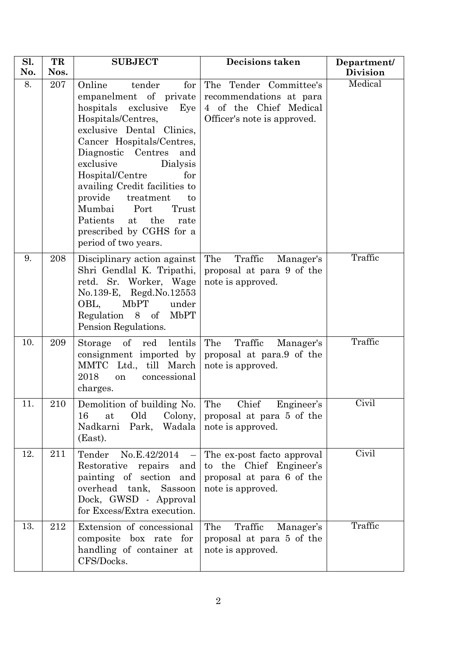| Sl. | TR   | <b>SUBJECT</b>                                                                                                                                                                                                                                                                                                                                                                                                                 | <b>Decisions taken</b>                                                                                     | Department/            |
|-----|------|--------------------------------------------------------------------------------------------------------------------------------------------------------------------------------------------------------------------------------------------------------------------------------------------------------------------------------------------------------------------------------------------------------------------------------|------------------------------------------------------------------------------------------------------------|------------------------|
| No. | Nos. |                                                                                                                                                                                                                                                                                                                                                                                                                                |                                                                                                            | <b>Division</b>        |
| 8.  | 207  | Online<br>tender<br>for<br>empanelment of private<br>hospitals exclusive<br>Eye<br>Hospitals/Centres,<br>exclusive Dental Clinics,<br>Cancer Hospitals/Centres,<br>Diagnostic Centres<br>and<br>exclusive<br>Dialysis<br>Hospital/Centre<br>for<br>availing Credit facilities to<br>provide<br>treatment<br>to<br>Mumbai<br>Port<br>Trust<br>Patients<br>the<br>at<br>rate<br>prescribed by CGHS for a<br>period of two years. | The Tender Committee's<br>recommendations at para<br>4 of the Chief Medical<br>Officer's note is approved. | Medical                |
| 9.  | 208  | Disciplinary action against<br>Shri Gendlal K. Tripathi,<br>retd. Sr. Worker, Wage<br>No.139-E, Regd.No.12553<br>MbPT<br>OBL,<br>under<br>Regulation 8 of<br><b>MbPT</b><br>Pension Regulations.                                                                                                                                                                                                                               | The<br>Traffic<br>Manager's<br>proposal at para 9 of the<br>note is approved.                              | Traffic                |
| 10. | 209  | $\sigma f$<br>lentils<br>Storage<br>$_{\rm red}$<br>consignment imported by<br>MMTC Ltd., till March<br>2018<br>concessional<br>on<br>charges.                                                                                                                                                                                                                                                                                 | The<br>Traffic<br>Manager's<br>proposal at para.9 of the<br>note is approved.                              | Traffic                |
| 11. | 210  | Demolition of building No.<br>Old<br>Colony,<br>16<br>at<br>Nadkarni Park, Wadala<br>(East).                                                                                                                                                                                                                                                                                                                                   | The Chief Engineer's<br>proposal at para 5 of the<br>note is approved.                                     | $Civ$ i $\overline{1}$ |
| 12. | 211  | Tender<br>No.E.42/2014<br>$\overline{\phantom{m}}$<br>Restorative<br>repairs and<br>painting of section and<br>overhead tank, Sassoon<br>Dock, GWSD - Approval<br>for Excess/Extra execution.                                                                                                                                                                                                                                  | The ex-post facto approval<br>to the Chief Engineer's<br>proposal at para 6 of the<br>note is approved.    | Civil                  |
| 13. | 212  | Extension of concessional<br>composite box rate for<br>handling of container at<br>CFS/Docks.                                                                                                                                                                                                                                                                                                                                  | The<br>Traffic<br>Manager's<br>proposal at para 5 of the<br>note is approved.                              | Traffic                |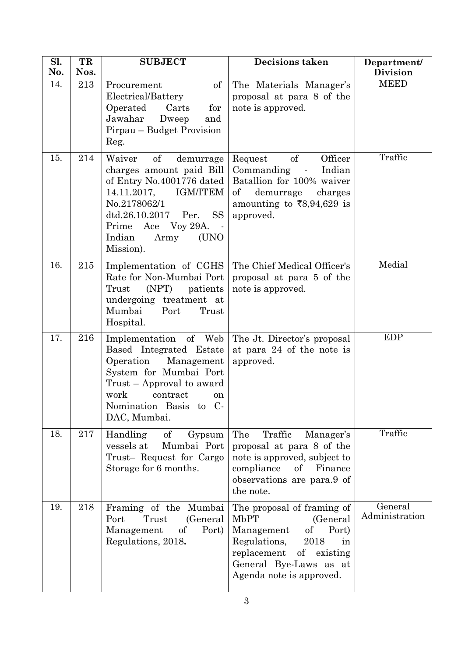| Sl.<br>No. | TR<br>Nos. | <b>SUBJECT</b>                                                                                                                                                                                                                           | <b>Decisions taken</b>                                                                                                                                                                               | Department/<br><b>Division</b> |
|------------|------------|------------------------------------------------------------------------------------------------------------------------------------------------------------------------------------------------------------------------------------------|------------------------------------------------------------------------------------------------------------------------------------------------------------------------------------------------------|--------------------------------|
| 14.        | 213        | of<br>Procurement<br>Electrical/Battery<br>Operated<br>Carts<br>for<br>Jawahar<br>Dweep<br>and<br>Pirpau - Budget Provision<br>Reg.                                                                                                      | The Materials Manager's<br>proposal at para 8 of the<br>note is approved.                                                                                                                            | <b>MEED</b>                    |
| 15.        | 214        | Waiver<br>of<br>demurrage<br>charges amount paid Bill<br>of Entry No.4001776 dated<br>14.11.2017,<br><b>IGM/ITEM</b><br>No.2178062/1<br><b>SS</b><br>dtd.26.10.2017<br>Per.<br>Prime Ace Voy 29A.<br>Indian<br>(UNO<br>Army<br>Mission). | of<br>Officer<br>Request<br>Commanding<br>Indian<br>$\mathcal{L}^{\text{max}}$<br>Batallion for 100% waiver<br>$\sigma f$<br>demurrage<br>charges<br>amounting to ₹8,94,629 is<br>approved.          | Traffic                        |
| 16.        | 215        | Implementation of CGHS<br>Rate for Non-Mumbai Port<br>(NPT)<br>patients<br>Trust<br>undergoing treatment at<br>Mumbai<br>Port<br>Trust<br>Hospital.                                                                                      | The Chief Medical Officer's<br>proposal at para 5 of the<br>note is approved.                                                                                                                        | Medial                         |
| 17.        | 216        | Implementation of Web<br>Based Integrated Estate<br>Operation<br>Management<br>System for Mumbai Port<br>Trust – Approval to award<br>work<br>contract<br>on<br>Nomination Basis<br>to C-<br>DAC, Mumbai.                                | The Jt. Director's proposal<br>at para 24 of the note is<br>approved.                                                                                                                                | <b>EDP</b>                     |
| 18.        | 217        | Handling<br>of<br>Gypsum<br>vessels at<br>Mumbai Port<br>Trust- Request for Cargo<br>Storage for 6 months.                                                                                                                               | The<br>Traffic<br>Manager's<br>proposal at para 8 of the<br>note is approved, subject to<br>compliance<br>of<br>Finance<br>observations are para.9 of<br>the note.                                   | Traffic                        |
| 19.        | 218        | Framing of the Mumbai<br>(General<br>Port<br>Trust<br>Management<br>of<br>Port)<br>Regulations, 2018.                                                                                                                                    | The proposal of framing of<br><b>MbPT</b><br>(General<br>Port)<br>Management<br>of<br>Regulations,<br>2018<br>in<br>replacement<br>of existing<br>General Bye-Laws as at<br>Agenda note is approved. | General<br>Administration      |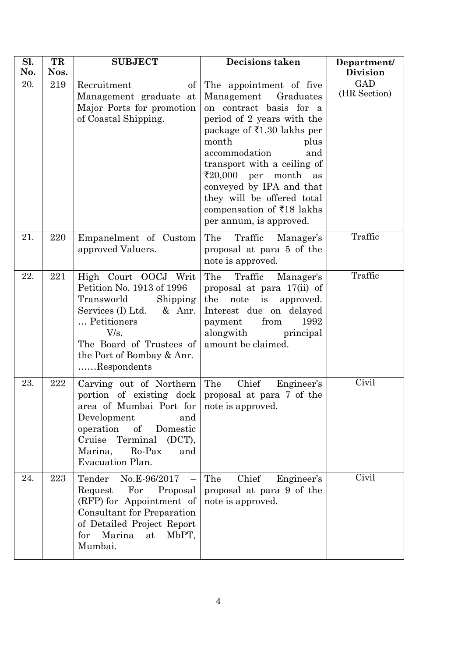| Sl.<br>No. | TR<br>Nos. | <b>SUBJECT</b>                                                                                                                                                                                                                                                  | <b>Decisions taken</b>                                                                                                                                                                                                                                                                                                                                                                   | Department/<br><b>Division</b> |
|------------|------------|-----------------------------------------------------------------------------------------------------------------------------------------------------------------------------------------------------------------------------------------------------------------|------------------------------------------------------------------------------------------------------------------------------------------------------------------------------------------------------------------------------------------------------------------------------------------------------------------------------------------------------------------------------------------|--------------------------------|
| 20.        | 219        | Recruitment<br>of<br>Management graduate at<br>Major Ports for promotion<br>of Coastal Shipping.                                                                                                                                                                | The appointment of five<br>Management Graduates<br>on contract basis for a<br>period of 2 years with the<br>package of ₹1.30 lakhs per<br>month<br>plus<br>accommodation<br>and<br>transport with a ceiling of<br>$\bar{\mathbf{z}}_{20,000}$ per month<br>as<br>conveyed by IPA and that<br>they will be offered total<br>compensation of $\bar{z}$ 18 lakhs<br>per annum, is approved. | GAD<br>(HR Section)            |
| 21.        | 220        | Empanelment of Custom<br>approved Valuers.                                                                                                                                                                                                                      | The<br>Traffic<br>Manager's<br>proposal at para 5 of the<br>note is approved.                                                                                                                                                                                                                                                                                                            | Traffic                        |
| 22.        | 221        | High Court OOCJ Writ<br>Petition No. 1913 of 1996<br>Shipping<br>Transworld<br>Services $(I)$ Ltd. & Anr.<br>Petitioners<br>V/s.<br>The Board of Trustees of<br>the Port of Bombay & Anr.<br>Respondents                                                        | The<br>Traffic<br>Manager's<br>proposal at para 17(ii) of<br>the<br>note is<br>approved.<br>Interest due on delayed<br>from<br>1992<br>payment<br>alongwith<br>principal<br>amount be claimed.                                                                                                                                                                                           | Traffic                        |
| 23.        | 222        | Carving out of Northern<br>portion of existing dock proposal at para 7 of the<br>area of Mumbai Port for note is approved.<br>Development<br>and<br>of<br>operation<br>Domestic<br>Cruise<br>Terminal<br>(DCT),<br>Marina,<br>Ro-Pax<br>and<br>Evacuation Plan. | Chief<br>The<br>Engineer's                                                                                                                                                                                                                                                                                                                                                               | Civil                          |
| 24.        | 223        | No.E-96/2017<br>Tender<br>Request<br>For<br>Proposal<br>(RFP) for Appointment of<br><b>Consultant for Preparation</b><br>of Detailed Project Report<br>Marina<br>MbPT,<br>for<br>at<br>Mumbai.                                                                  | Chief<br>Engineer's<br>The<br>proposal at para 9 of the<br>note is approved.                                                                                                                                                                                                                                                                                                             | Civil                          |